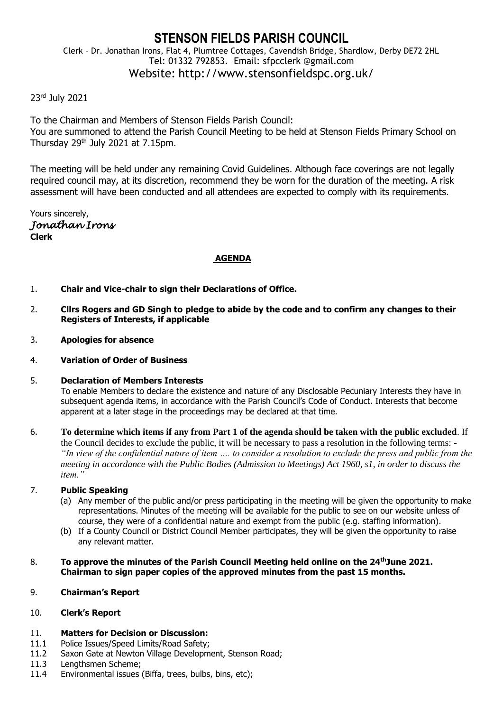# **STENSON FIELDS PARISH COUNCIL** Clerk – Dr. Jonathan Irons, Flat 4, Plumtree Cottages, Cavendish Bridge, Shardlow, Derby DE72 2HL Tel: 01332 792853. Email: sfpcclerk @gmail.com Website: http://www.stensonfieldspc.org.uk/

# 23rd July 2021

To the Chairman and Members of Stenson Fields Parish Council: You are summoned to attend the Parish Council Meeting to be held at Stenson Fields Primary School on Thursday 29<sup>th</sup> July 2021 at 7.15pm.

The meeting will be held under any remaining Covid Guidelines. Although face coverings are not legally required council may, at its discretion, recommend they be worn for the duration of the meeting. A risk assessment will have been conducted and all attendees are expected to comply with its requirements.

Yours sincerely, *Jonathan Irons*  **Clerk**

## **AGENDA**

- 1. **Chair and Vice-chair to sign their Declarations of Office.**
- 2. **Cllrs Rogers and GD Singh to pledge to abide by the code and to confirm any changes to their Registers of Interests, if applicable**
- 3. **Apologies for absence**
- 4. **Variation of Order of Business**
- 5. **Declaration of Members Interests** To enable Members to declare the existence and nature of any Disclosable Pecuniary Interests they have in subsequent agenda items, in accordance with the Parish Council's Code of Conduct. Interests that become apparent at a later stage in the proceedings may be declared at that time.
- 6. **To determine which items if any from Part 1 of the agenda should be taken with the public excluded**. If the Council decides to exclude the public, it will be necessary to pass a resolution in the following terms: - *"In view of the confidential nature of item …. to consider a resolution to exclude the press and public from the meeting in accordance with the Public Bodies (Admission to Meetings) Act 1960, s1, in order to discuss the item."*

### 7. **Public Speaking**

- (a) Any member of the public and/or press participating in the meeting will be given the opportunity to make representations. Minutes of the meeting will be available for the public to see on our website unless of course, they were of a confidential nature and exempt from the public (e.g. staffing information).
- (b) If a County Council or District Council Member participates, they will be given the opportunity to raise any relevant matter.
- 8. **To approve the minutes of the Parish Council Meeting held online on the 24thJune 2021. Chairman to sign paper copies of the approved minutes from the past 15 months.**

### 9. **Chairman's Report**

# 10. **Clerk's Report**

### 11. **Matters for Decision or Discussion:**

- 11.1 Police Issues/Speed Limits/Road Safety;
- 11.2 Saxon Gate at Newton Village Development, Stenson Road;
- 11.3 Lengthsmen Scheme;
- 11.4 Environmental issues (Biffa, trees, bulbs, bins, etc);